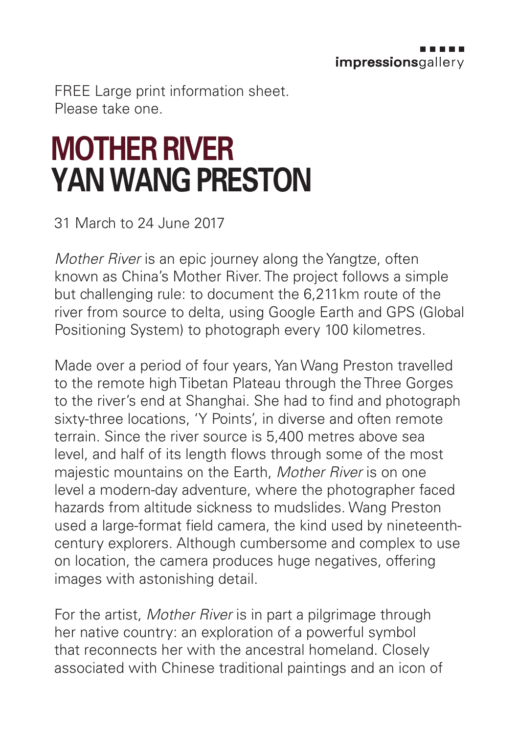FREE Large print information sheet. Please take one.

## **MOTHER RIVER YAN WANG PRESTON**

31 March to 24 June 2017

*Mother River* is an epic journey along the Yangtze, often known as China's Mother River. The project follows a simple but challenging rule: to document the 6,211km route of the river from source to delta, using Google Earth and GPS (Global Positioning System) to photograph every 100 kilometres.

Made over a period of four years, Yan Wang Preston travelled to the remote high Tibetan Plateau through the Three Gorges to the river's end at Shanghai. She had to find and photograph sixty-three locations, 'Y Points', in diverse and often remote terrain. Since the river source is 5,400 metres above sea level, and half of its length flows through some of the most majestic mountains on the Earth, *Mother River* is on one level a modern-day adventure, where the photographer faced hazards from altitude sickness to mudslides. Wang Preston used a large-format field camera, the kind used by nineteenthcentury explorers. Although cumbersome and complex to use on location, the camera produces huge negatives, offering images with astonishing detail.

For the artist, *Mother River* is in part a pilgrimage through her native country: an exploration of a powerful symbol that reconnects her with the ancestral homeland. Closely associated with Chinese traditional paintings and an icon of